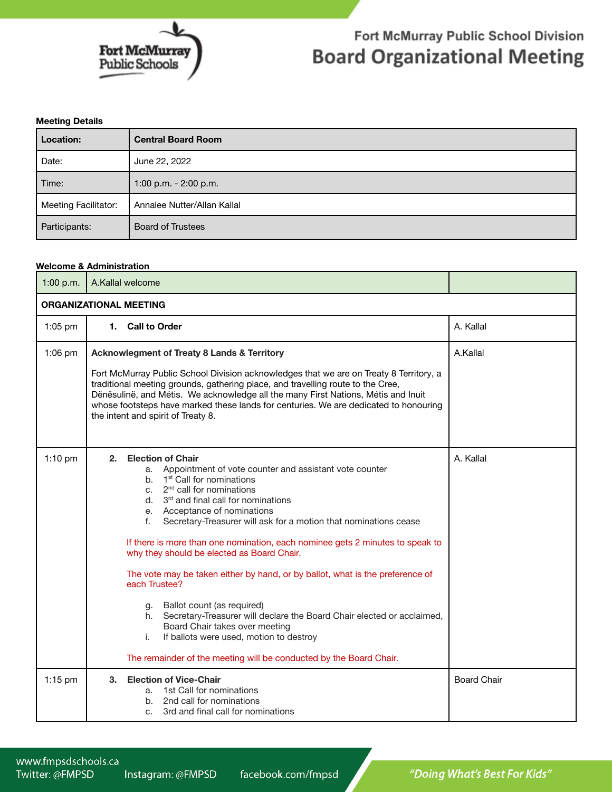

## Fort McMurray Public School Division **Board Organizational Meeting**

## **Meeting Details**

| Location:                   | <b>Central Board Room</b>   |
|-----------------------------|-----------------------------|
| Date:                       | June 22, 2022               |
| Time:                       | 1:00 p.m. - 2:00 p.m.       |
| <b>Meeting Facilitator:</b> | Annalee Nutter/Allan Kallal |
| Participants:               | <b>Board of Trustees</b>    |

## **Welcome & Administration**

| 1:00 p.m.                     | A.Kallal welcome                                                                                                                                                                                                                                                                                                                                                                                                                                                                                                                                                                                                                                                                                                                                                                                                                                                 |                    |  |  |
|-------------------------------|------------------------------------------------------------------------------------------------------------------------------------------------------------------------------------------------------------------------------------------------------------------------------------------------------------------------------------------------------------------------------------------------------------------------------------------------------------------------------------------------------------------------------------------------------------------------------------------------------------------------------------------------------------------------------------------------------------------------------------------------------------------------------------------------------------------------------------------------------------------|--------------------|--|--|
| <b>ORGANIZATIONAL MEETING</b> |                                                                                                                                                                                                                                                                                                                                                                                                                                                                                                                                                                                                                                                                                                                                                                                                                                                                  |                    |  |  |
| $1:05$ pm                     | 1. Call to Order                                                                                                                                                                                                                                                                                                                                                                                                                                                                                                                                                                                                                                                                                                                                                                                                                                                 | A. Kallal          |  |  |
| $1:06$ pm                     | <b>Acknowlegment of Treaty 8 Lands &amp; Territory</b><br>Fort McMurray Public School Division acknowledges that we are on Treaty 8 Territory, a<br>traditional meeting grounds, gathering place, and travelling route to the Cree,<br>Dënësulinë, and Métis. We acknowledge all the many First Nations, Métis and Inuit<br>whose footsteps have marked these lands for centuries. We are dedicated to honouring<br>the intent and spirit of Treaty 8.                                                                                                                                                                                                                                                                                                                                                                                                           | A.Kallal           |  |  |
| $1:10$ pm                     | <b>Election of Chair</b><br>2.<br>a. Appointment of vote counter and assistant vote counter<br>b. 1 <sup>st</sup> Call for nominations<br>2 <sup>nd</sup> call for nominations<br>C.<br>$d.$ 3 <sup>rd</sup> and final call for nominations<br>e. Acceptance of nominations<br>f.<br>Secretary-Treasurer will ask for a motion that nominations cease<br>If there is more than one nomination, each nominee gets 2 minutes to speak to<br>why they should be elected as Board Chair.<br>The vote may be taken either by hand, or by ballot, what is the preference of<br>each Trustee?<br>g. Ballot count (as required)<br>Secretary-Treasurer will declare the Board Chair elected or acclaimed,<br>h.<br>Board Chair takes over meeting<br>If ballots were used, motion to destroy<br>i.<br>The remainder of the meeting will be conducted by the Board Chair. | A. Kallal          |  |  |
| 1:15 pm                       | <b>Election of Vice-Chair</b><br>3.<br>1st Call for nominations<br>a.<br>b. 2nd call for nominations<br>3rd and final call for nominations<br>C.                                                                                                                                                                                                                                                                                                                                                                                                                                                                                                                                                                                                                                                                                                                 | <b>Board Chair</b> |  |  |